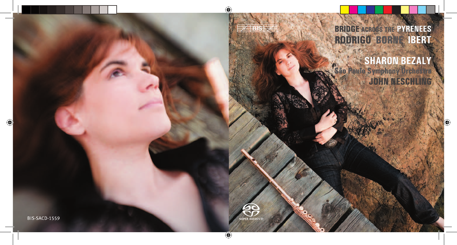

# **BRIDGE ACROSS THE PYRENEES** RODRIGO BORNE IBERT

## **SHARON BEZALY** São Paulo Symphony Orchestra **JOHN NESCHLING.**

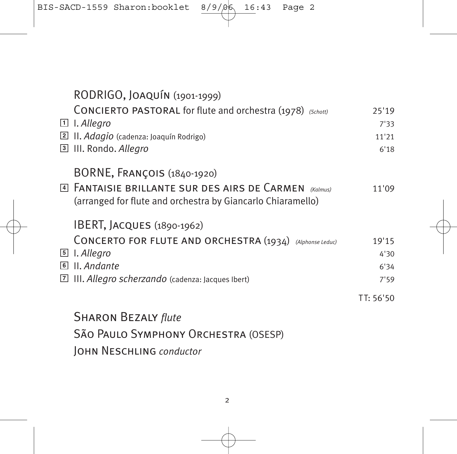|           | RODRIGO, JOAQUÍN (1901-1999)<br><b>CONCIERTO PASTORAL for flute and orchestra (1978)</b> (Schott)<br>$\Box$ I. Allegro<br>$\boxed{2}$ II. Adagio (cadenza: Joaquín Rodrigo)<br>3 III. Rondo. Allegro | 25'19<br>7'33<br>11'21<br>6'18 |
|-----------|------------------------------------------------------------------------------------------------------------------------------------------------------------------------------------------------------|--------------------------------|
|           | BORNE, FRANÇOIS (1840-1920)<br>4 FANTAISIE BRILLANTE SUR DES AIRS DE CARMEN (Kalmus)<br>(arranged for flute and orchestra by Giancarlo Chiaramello)                                                  | 11'09                          |
| $\vert$ 7 | IBERT, JACQUES (1890-1962)<br>CONCERTO FOR FLUTE AND ORCHESTRA (1934) (Alphonse Leduc)<br>5 I. Allegro<br>6 II. Andante<br>III. Allegro scherzando (cadenza: Jacques Ibert)                          | 19'15<br>4'30<br>6'34<br>7'59  |
|           | <b>SHARON BEZALY flute</b><br>SÃO PAULO SYMPHONY ORCHESTRA (OSESP)<br>JOHN NESCHLING conductor                                                                                                       | TT: 56'50                      |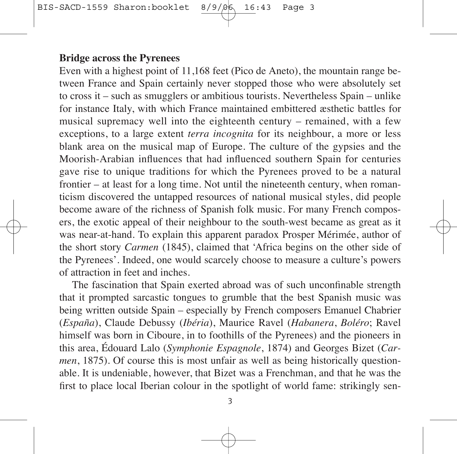#### **Bridge across the Pyrenees**

Even with a highest point of 11,168 feet (Pico de Aneto), the mountain range be tween France and Spain certainly never stopped those who were absolutely set to cross it – such as smugglers or ambitious tourists. Nevertheless  $S$ pain – unlike for instance Italy, with which France maintained embittered æsthetic battles for musical supremacy well into the eighteenth century – remained, with a few exceptions, to a large extent *terra incognita* for its neighbour, a more or less blank area on the musical map of Europe. The culture of the gypsies and the Moorish-Arabian influences that had influenced southern Spain for centuries gave rise to unique traditions for which the Pyrenees proved to be a natural frontier – at least for a long time. Not until the nineteenth century, when roman ticism discovered the untapped resources of national musical styles, did people become aware of the richness of Spanish folk music. For many French composers, the exotic appeal of their neighbour to the south-west became as great as it was near-at-hand. To explain this apparent paradox Prosper Mérimée, author of the short story *Carmen* (1845), claimed that 'Africa begins on the other side of the Pyrenees'. Indeed, one would scarcely choose to measure a culture's powers of attraction in feet and inches.

The fascination that Spain exerted abroad was of such unconfinable strength that it prompted sarcastic tongues to grumble that the best Spanish music was being written outside Spain – especially by French composers Emanuel Chabrier (*España*), Claude Debussy (*Ibéria*), Maurice Ravel (*Ha banera*, *Boléro*; Ravel himself was born in Ciboure, in to foothills of the Pyrenees) and the pioneers in this area, Édouard Lalo (*Symphonie Espagnole*, 1874) and Georges Bizet (*Car men*, 1875). Of course this is most unfair as well as being historically questionable. It is un deniable, however, that Bizet was a Frenchman, and that he was the first to place local Iberian colour in the spotlight of world fame: strikingly sen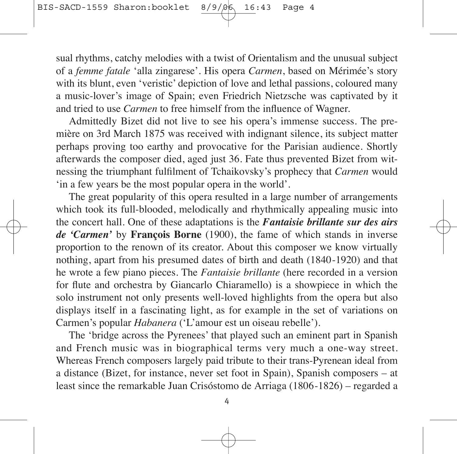sual rhythms, catchy melodies with a twist of Orientalism and the unusual subject of a *femme fatale* 'alla zingarese'. His opera *Carmen*, based on Mérimée's story with its blunt, even 'veristic' depiction of love and lethal passions, coloured many a music-lover's image of Spain; even Friedrich Nietzsche was captivated by it and tried to use *Carmen* to free himself from the influence of Wagner.

Admittedly Bizet did not live to see his opera's immense success. The première on 3rd March 1875 was received with indignant silence, its subject matter perhaps proving too earthy and provocative for the Parisian audience. Shortly afterwards the composer died, aged just 36. Fate thus prevented Bizet from wit nessing the triumphant fulfilment of Tchaikovsky's prophecy that *Carmen* would 'in a few years be the most popular opera in the world'.

The great popularity of this opera resulted in a large number of arrangements which took its full-blooded, melodically and rhythmically appealing music into the concert hall. One of these adaptations is the *Fantaisie brillante sur des airs de 'Carmen'* by **François Borne** (1900), the fame of which stands in inverse proportion to the renown of its creator. About this composer we know virtually nothing, apart from his presumed dates of birth and death (1840-1920) and that he wrote a few piano pieces. The *Fantaisie brillante* (here recorded in a version for flute and orchestra by Giancarlo Chiaramello) is a showpiece in which the solo instrument not only presents well-loved highlights from the opera but also displays itself in a fascinating light, as for example in the set of variations on Carmen's popular *Habanera* ('L'amour est un oiseau rebelle').

The 'bridge across the Pyrenees' that played such an eminent part in Spanish and French music was in biographical terms very much a one-way street. Whereas French composers largely paid tribute to their trans-Pyrenean ideal from a distance (Bizet, for instance, never set foot in Spain), Spanish composers – at least since the remarkable Juan Crisóstomo de Arriaga (1806-1826) – regarded a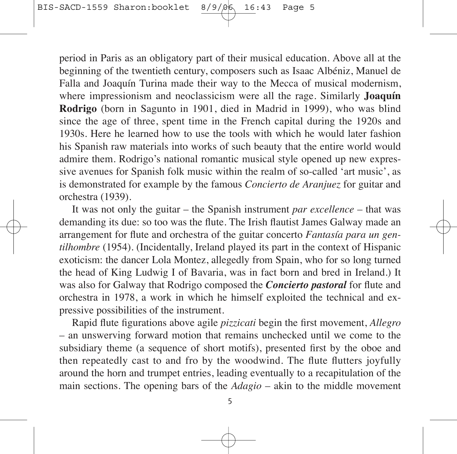period in Paris as an obligatory part of their musical education. Above all at the beginning of the twentieth century, composers such as Isaac Albéniz, Manuel de Falla and Joaquín Turina made their way to the Mecca of musical modernism, where impressionism and neoclassicism were all the rage. Similarly **Joaquín Rodrigo** (born in Sagunto in 1901, died in Madrid in 1999), who was blind since the age of three, spent time in the French capital during the 1920s and 1930s. Here he learned how to use the tools with which he would later fashion his Spanish raw materials into works of such beauty that the entire world would admire them. Rodrigo's national romantic musical style opened up new expressive avenues for Spanish folk music within the realm of so-called 'art music', as is demonstrated for example by the famous *Concierto de Aranjuez* for guitar and orchestra (1939).

It was not only the guitar – the Spanish instrument *par excellence* – that was demanding its due: so too was the flute. The Irish flautist James Galway made an arrangement for flute and orchestra of the guitar concerto *Fantasía para un gen tilhombre* (1954). (Incidentally, Ireland played its part in the context of Hispanic exoticism: the dancer Lola Montez, allegedly from Spain, who for so long turned the head of King Ludwig I of Bavaria, was in fact born and bred in Ireland.) It was also for Galway that Rodrigo composed the *Concierto pastoral* for flute and orchestra in 1978, a work in which he himself exploited the technical and expressive possibilities of the instrument.

Rapid flute figurations above agile *pizzicati* begin the first movement, *Allegro* – an unswerving forward motion that remains unchecked until we come to the sub sidiary theme (a sequence of short motifs), presented first by the oboe and then repeatedly cast to and fro by the woodwind. The flute flutters joyfully around the horn and trumpet entries, leading eventually to a recapitulation of the main sections. The opening bars of the *Adagio* – akin to the middle movement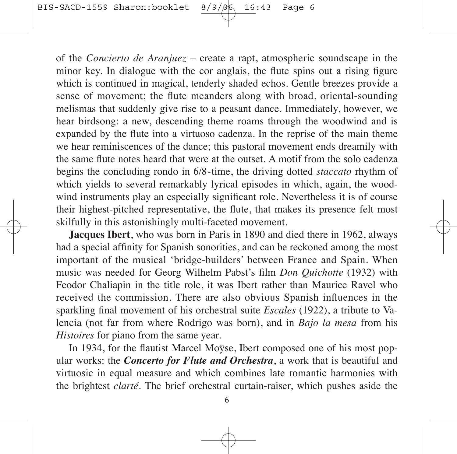of the *Concierto de Aranjuez* – create a rapt, atmospheric soundscape in the minor key. In dialogue with the cor anglais, the flute spins out a rising figure which is continued in magical, tenderly shaded echos. Gentle breezes provide a sense of movement; the flute meanders along with broad, oriental-sounding melismas that suddenly give rise to a peasant dance. Immediately, however, we hear birdsong: a new, descending theme roams through the woodwind and is expanded by the flute into a virtuoso cadenza. In the reprise of the main theme we hear reminiscences of the dance; this pastoral movement ends dreamily with the same flute notes heard that were at the outset. A motif from the solo cadenza begins the concluding rondo in 6/8-time, the driving dotted *staccato* rhythm of which yields to several remarkably lyrical episodes in which, again, the woodwind instruments play an especially significant role. Nevertheless it is of course their highest-pitched representative, the flute, that makes its presence felt most skilfully in this astonishingly multi-faceted movement.

**Jacques Ibert**, who was born in Paris in 1890 and died there in 1962, always had a special affinity for Spanish sonorities, and can be reckoned among the most important of the musical 'bridge-builders' between France and Spain. When music was needed for Georg Wilhelm Pabst's film *Don Quichotte* (1932) with Feodor Chaliapin in the title role, it was Ibert rather than Maurice Ravel who received the commission. There are also obvious Spanish influences in the sparkling final movement of his orchestral suite *Escales* (1922), a tribute to Valencia (not far from where Rodrigo was born), and in *Bajo la mesa* from his *Histoires* for piano from the same year.

In 1934, for the flautist Marcel Moÿse, Ibert composed one of his most popular works: the *Concerto for Flute and Orchestra*, a work that is beautiful and virtuosic in equal measure and which combines late romantic harmonies with the brightest *clarté*. The brief orchestral curtain-raiser, which pushes aside the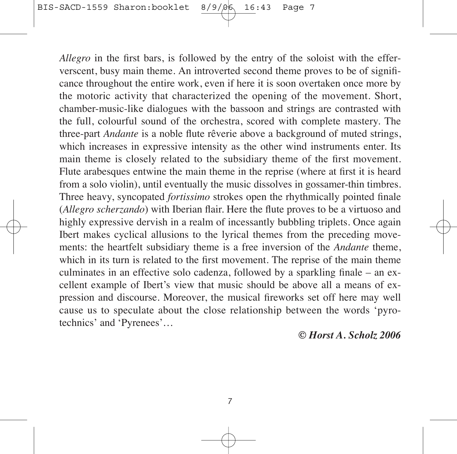*Allegro* in the first bars, is followed by the entry of the soloist with the efferverscent, busy main theme. An introverted second theme proves to be of significance throughout the entire work, even if here it is soon overtaken once more by the motoric activity that characterized the opening of the movement. Short, cham ber-music-like dialogues with the bassoon and strings are contrasted with the full, colourful sound of the orchestra, scored with complete mastery. The three-part *Andante* is a noble flute rêverie above a background of muted strings, which increases in expressive intensity as the other wind instruments enter. Its main theme is closely related to the subsidiary theme of the first movement. Flute arabesques entwine the main theme in the reprise (where at first it is heard from a solo violin), until eventually the music dissolves in gossamer-thin timbres. Three heavy, syncopated *fortissimo* strokes open the rhythmically pointed finale (*Allegro scherzando*) with Iberian flair. Here the flute proves to be a virtuoso and highly expressive dervish in a realm of incessantly bubbling triplets. Once again Ibert makes cyclical allusions to the lyrical themes from the preceding move ments: the heartfelt subsidiary theme is a free inversion of the *Andante* theme, which in its turn is related to the first movement. The reprise of the main theme culminates in an effective solo cadenza, followed by a sparkling finale – an excellent example of Ibert's view that music should be above all a means of expression and discourse. Moreover, the musical fireworks set off here may well cause us to speculate about the close relationship between the words 'pyrotechnics' and 'Pyrenees'…

*© Horst A. Scholz 2006*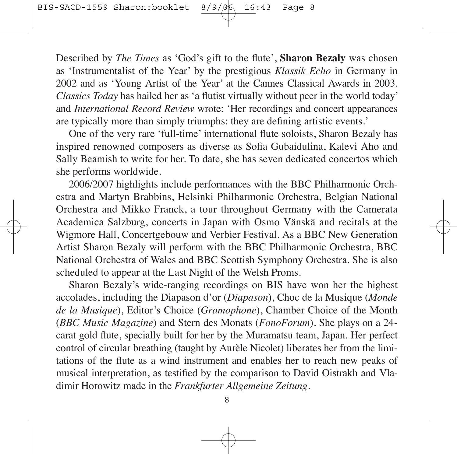Described by *The Times* as 'God's gift to the flute', **Sharon Bezaly** was chosen as 'Instrumentalist of the Year' by the prestigious *Klassik Echo* in Germany in 2002 and as 'Young Artist of the Year' at the Cannes Classical Awards in 2003. *Clas sics Today* has hailed her as 'a flutist virtually without peer in the world today' and *International Record Review* wrote: 'Her recordings and concert appearances are typically more than simply triumphs: they are defining artistic events.'

One of the very rare 'full-time' international flute soloists, Sharon Bezaly has inspired renowned composers as diverse as Sofia Gubaidulina, Kalevi Aho and Sally Beamish to write for her. To date, she has seven dedicated concertos which she performs worldwide.

2006/2007 highlights include performances with the BBC Philharmonic Orch estra and Martyn Brabbins, Helsinki Philharmonic Orchestra, Belgian National Orchestra and Mikko Franck, a tour throughout Germany with the Camerata Academica Salzburg, concerts in Japan with Osmo Vänskä and recitals at the Wigmore Hall, Concertgebouw and Verbier Festival. As a BBC New Generation Artist Sharon Bezaly will perform with the BBC Philharmonic Orchestra, BBC National Orchestra of Wales and BBC Scottish Symphony Orchestra. She is also scheduled to appear at the Last Night of the Welsh Proms.

Sharon Bezaly's wide-ranging recordings on BIS have won her the highest accolades, including the Diapason d'or (*Diapason*), Choc de la Musique (*Monde de la Musique*), Editor's Choice (*Gramophone*), Chamber Choice of the Month (*BBC Music Mag azine*) and Stern des Monats (*FonoForum*). She plays on a 24 carat gold flute, specially built for her by the Muramatsu team, Japan. Her perfect control of circular breathing (taught by Aurèle Nicolet) liberates her from the limi tations of the flute as a wind instrument and enables her to reach new peaks of musical interpretation, as testified by the comparison to David Oistrakh and Vladimir Horowitz made in the *Frankfurter Allgemeine Zeitung*.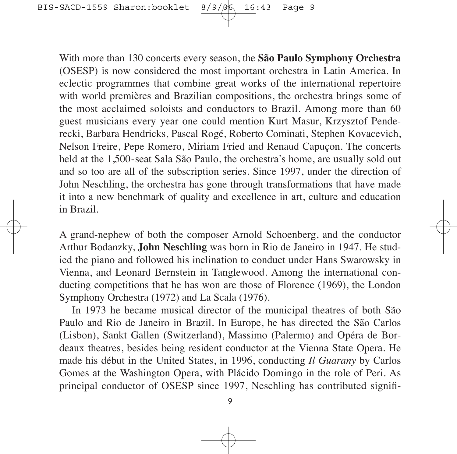With more than 130 concerts every season, the **São Paulo Symphony Orchestra** (OSESP) is now considered the most important orchestra in Latin America. In eclectic programmes that combine great works of the international repertoire with world premières and Brazilian compositions, the orchestra brings some of the most acclaimed soloists and conductors to Brazil. Among more than 60 guest musicians every year one could mention Kurt Masur, Krzysztof Penderecki, Barbara Hendricks, Pascal Rogé, Roberto Cominati, Stephen Kovacevich, Nelson Freire, Pepe Romero, Miriam Fried and Renaud Capuçon. The concerts held at the 1,500-seat Sala São Paulo, the orchestra's home, are usually sold out and so too are all of the subscription series. Since 1997, under the direction of John Neschling, the orchestra has gone through trans formations that have made it into a new benchmark of quality and excellence in art, culture and education in Brazil.

A grand-nephew of both the composer Arnold Schoenberg, and the conductor Arthur Bodanzky, **John Neschling** was born in Rio de Janeiro in 1947. He stud ied the piano and followed his inclination to conduct under Hans Swarowsky in Vienna, and Leonard Bernstein in Tanglewood. Among the international conducting competitions that he has won are those of Florence (1969), the London Symphony Orchestra (1972) and La Scala (1976).

In 1973 he became musical director of the municipal theatres of both São Paulo and Rio de Janeiro in Brazil. In Europe, he has directed the São Carlos (Lisbon), Sankt Gallen (Switzerland), Massimo (Palermo) and Opéra de Bor deaux theatres, besides being resident conductor at the Vienna State Opera. He made his début in the United States, in 1996, conducting *Il Guarany* by Carlos Gomes at the Washington Opera, with Plácido Domingo in the role of Peri. As principal conductor of OSESP since 1997, Neschling has contributed signifi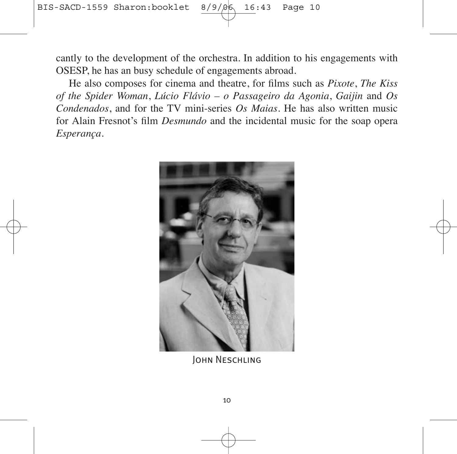cantly to the development of the orchestra. In addition to his engagements with OSESP, he has an busy schedule of engagements abroad.

He also composes for cinema and theatre, for films such as *Pixote*, *The Kiss of the Spider Woman*, *Lúcio Flávio – o Passageiro da Agonia*, *Gaijin* and *Os Condenados*, and for the TV mini-series *Os Maias*. He has also written music for Alain Fresnot's film *Desmundo* and the incidental music for the soap opera *Esperança*.



John Neschling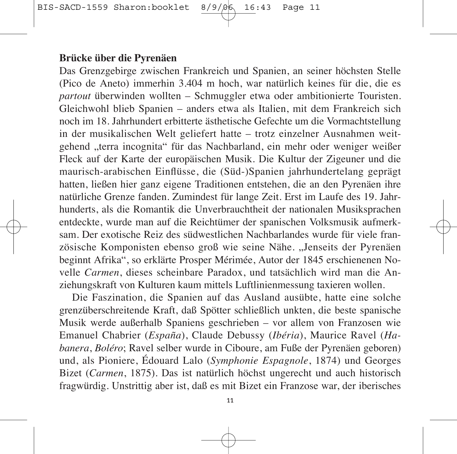#### **Brücke über die Pyrenäen**

Das Grenzgebirge zwischen Frankreich und Spanien, an seiner höchsten Stelle (Pico de Aneto) immerhin 3.404 m hoch, war natürlich keines für die, die es *par tout* überwinden wollten – Schmuggler etwa oder ambitionierte Touristen. Gleichwohl blieb Spanien – anders etwa als Italien, mit dem Frankreich sich noch im 18. Jahrhundert erbitterte ästhetische Gefechte um die Vormachtstellung in der musikalischen Welt geliefert hatte – trotz einzelner Ausnahmen weit gehend "terra incognita" für das Nachbarland, ein mehr oder weniger weißer Fleck auf der Karte der europäischen Musik. Die Kultur der Zigeuner und die maurisch-arabischen Einflüsse, die (Süd-)Spanien jahrhundertelang geprägt hatten, ließen hier ganz eigene Traditionen entstehen, die an den Pyrenäen ihre natürliche Grenze fanden. Zumindest für lange Zeit. Erst im Laufe des 19. Jahr hunderts, als die Romantik die Unverbrauchtheit der nationalen Musiksprachen ent deckte, wurde man auf die Reichtümer der spanischen Volksmusik aufmerk sam. Der exotische Reiz des südwestlichen Nachbarlandes wurde für viele fran zö sische Komponisten ebenso groß wie seine Nähe. "Jenseits der Pyrenäen beginnt Afrika", so erklärte Prosper Mérimée, Autor der 1845 erschienenen No velle *Carmen*, dieses scheinbare Paradox, und tatsächlich wird man die An ziehungs kraft von Kulturen kaum mittels Luftlinienmessung taxieren wollen.

Die Faszination, die Spanien auf das Ausland ausübte, hatte eine solche grenzüberschreitende Kraft, daß Spötter schließlich unkten, die beste spanische Musik werde außerhalb Spaniens geschrieben – vor allem von Franzosen wie Ema nuel Chabrier (*España*), Claude Debussy (*Ibéria*), Maurice Ravel (*Ha banera*, *Boléro*; Ravel selber wurde in Ciboure, am Fuße der Pyrenäen geboren) und, als Pioniere, Édouard Lalo (*Symphonie Espagnole*, 1874) und Georges Bizet (*Carmen*, 1875). Das ist natürlich höchst ungerecht und auch historisch frag würdig. Unstrittig aber ist, daß es mit Bizet ein Franzose war, der iberisches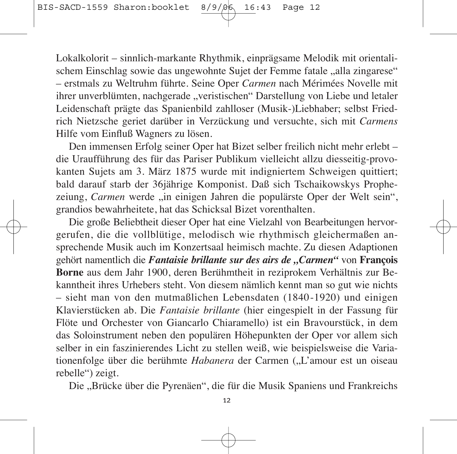Lokalkolorit – sinnlich-markante Rhythmik, einprägsame Melodik mit orientalischem Einschlag sowie das ungewohnte Sujet der Femme fatale "alla zingarese" – erstmals zu Weltruhm führte. Seine Oper *Carmen* nach Mérimées Novelle mit ihrer unverblümten, nachgerade "veristischen" Darstellung von Liebe und letaler Leidenschaft prägte das Spanienbild zahlloser (Musik-)Liebhaber; selbst Fried rich Nietzsche geriet darüber in Verzückung und versuchte, sich mit *Carmens* Hilfe vom Einfluß Wagners zu lösen.

Den immensen Erfolg seiner Oper hat Bizet selber freilich nicht mehr erlebt – die Uraufführung des für das Pariser Publikum vielleicht allzu diesseitig-pro vo kanten Sujets am 3. März 1875 wurde mit indigniertem Schweigen quittiert; bald darauf starb der 36jährige Komponist. Daß sich Tschaikowskys Prophe zeiung, *Carmen* werde "in einigen Jahren die populärste Oper der Welt sein", grandios bewahrheitete, hat das Schicksal Bizet vorenthalten.

Die große Beliebtheit dieser Oper hat eine Vielzahl von Bearbeitungen hervorgerufen, die die vollblütige, melodisch wie rhythmisch gleichermaßen an sprechende Musik auch im Konzertsaal heimisch machte. Zu diesen Adaptionen gehört namentlich die *Fantaisie brillante sur des airs de "Carmen"* von **François Borne** aus dem Jahr 1900, deren Berühmtheit in reziprokem Verhältnis zur Be kanntheit ihres Urhebers steht. Von diesem nämlich kennt man so gut wie nichts – sieht man von den mutmaßlichen Lebensdaten (1840-1920) und einigen Klavier stücken ab. Die *Fantaisie brillante* (hier eingespielt in der Fassung für Flöte und Orchester von Giancarlo Chiaramello) ist ein Bravourstück, in dem das Soloinstrument neben den populären Höhepunkten der Oper vor allem sich selber in ein faszinierendes Licht zu stellen weiß, wie beispielsweise die Variationenfolge über die berühmte *Habanera* der Carmen ("L'amour est un oiseau rebelle") zeigt.

Die "Brücke über die Pyrenäen", die für die Musik Spaniens und Frankreichs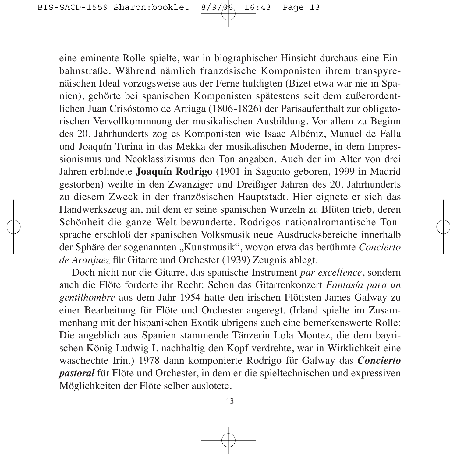eine eminente Rolle spielte, war in biographischer Hinsicht durchaus eine Ein bahnstraße. Während nämlich französische Komponisten ihrem transpyrenäischen Ideal vorzugsweise aus der Ferne huldigten (Bizet etwa war nie in Spa nien), gehörte bei spanischen Komponisten spätestens seit dem außerordentlichen Juan Crisóstomo de Arriaga (1806-1826) der Parisaufenthalt zur obligatorischen Vervollkommnung der musikalischen Ausbildung. Vor allem zu Beginn des 20. Jahrhunderts zog es Komponisten wie Isaac Albéniz, Manuel de Falla und Joaquín Turina in das Mekka der musikalischen Moderne, in dem Impressionismus und Neoklassizismus den Ton angaben. Auch der im Alter von drei Jahren erblindete **Joaquín Rodrigo** (1901 in Sagunto geboren, 1999 in Madrid gestorben) weilte in den Zwanziger und Dreißiger Jahren des 20. Jahrhunderts zu diesem Zweck in der französischen Hauptstadt. Hier eignete er sich das Hand werkszeug an, mit dem er seine spanischen Wurzeln zu Blüten trieb, deren Schönheit die ganze Welt bewunderte. Rodrigos nationalromantische Tonsprache erschloß der spanischen Volksmusik neue Ausdrucksbereiche innerhalb der Sphäre der sogenannten "Kunstmusik", wovon etwa das berühmte *Concierto de Aranjuez* für Gitarre und Orchester (1939) Zeugnis ablegt.

Doch nicht nur die Gitarre, das spanische Instrument *par excellence*, sondern auch die Flöte forderte ihr Recht: Schon das Gitarrenkonzert *Fantasía para un gentilhombre* aus dem Jahr 1954 hatte den irischen Flötisten James Galway zu einer Bearbeitung für Flöte und Orchester angeregt. (Irland spielte im Zusammen hang mit der hispanischen Exotik übrigens auch eine bemerkenswerte Rolle: Die angeblich aus Spanien stammende Tänzerin Lola Montez, die dem bayrischen König Ludwig I. nachhaltig den Kopf verdrehte, war in Wirklichkeit eine waschechte Irin.) 1978 dann komponierte Rodrigo für Galway das *Concierto pas toral* für Flöte und Orchester, in dem er die spieltechnischen und expressiven Mög lichkeiten der Flöte selber auslotete.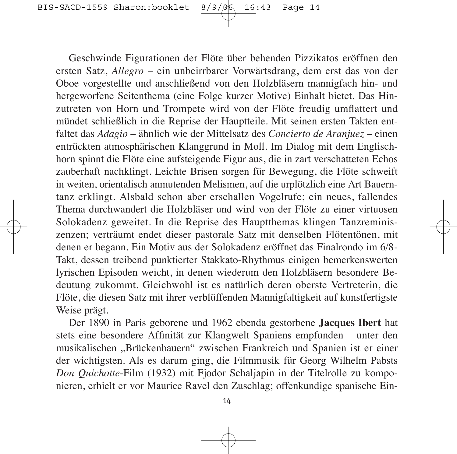Geschwinde Figurationen der Flöte über behenden Pizzikatos eröffnen den ersten Satz, *Allegro* – ein unbeirrbarer Vorwärtsdrang, dem erst das von der Oboe vorgestellte und anschließend von den Holzbläsern mannigfach hin- und hergeworfene Seitenthema (eine Folge kurzer Motive) Einhalt bietet. Das Hinzu treten von Horn und Trompete wird von der Flöte freudig umflattert und mündet schließlich in die Reprise der Hauptteile. Mit seinen ersten Takten entfaltet das *Adagio* – ähnlich wie der Mittelsatz des *Concierto de Aranjuez* – einen entrückten atmosphärischen Klanggrund in Moll. Im Dialog mit dem Englischhorn spinnt die Flöte eine aufsteigende Figur aus, die in zart verschatteten Echos zauberhaft nachklingt. Leichte Brisen sorgen für Bewegung, die Flöte schweift in weiten, orientalisch anmutenden Melismen, auf die urplötzlich eine Art Bauerntanz erklingt. Alsbald schon aber erschallen Vogelrufe; ein neues, fallendes Thema durchwandert die Holzbläser und wird von der Flöte zu einer virtuosen Solokadenz geweitet. In die Reprise des Hauptthemas klingen Tanzreminiszenzen; verträumt endet dieser pastorale Satz mit denselben Flötentönen, mit denen er begann. Ein Motiv aus der Solokadenz eröffnet das Finalrondo im 6/8- Takt, dessen treibend punktierter Stakkato-Rhythmus einigen bemerkenswerten lyrischen Episoden weicht, in denen wiederum den Holzbläsern besondere Be deutung zukommt. Gleichwohl ist es natürlich deren oberste Vertreterin, die Flöte, die diesen Satz mit ihrer verblüffenden Mannigfaltigkeit auf kunstfertigste Weise prägt.

Der 1890 in Paris geborene und 1962 ebenda gestorbene **Jacques Ibert** hat stets eine besondere Affinität zur Klangwelt Spaniens empfunden – unter den musikalischen "Brückenbauern" zwischen Frankreich und Spanien ist er einer der wichtigsten. Als es darum ging, die Filmmusik für Georg Wilhelm Pabsts Don Quichotte-Film (1932) mit Fjodor Schaljapin in der Titelrolle zu komponieren, erhielt er vor Maurice Ravel den Zuschlag; offenkundige spanische Ein -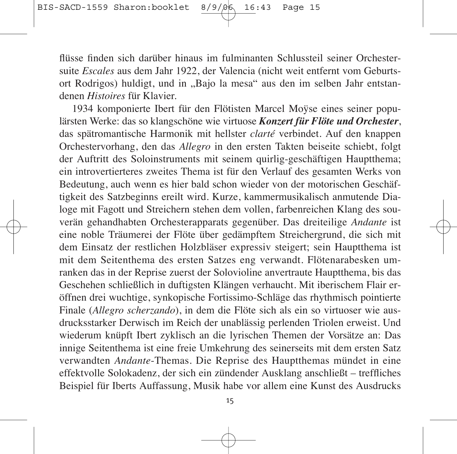flüsse finden sich darüber hinaus im fulminanten Schlussteil seiner Orchester suite *Escales* aus dem Jahr 1922, der Valencia (nicht weit entfernt vom Geburtsort Rodrigos) huldigt, und in "Bajo la mesa" aus den im selben Jahr entstandenen *Histoires* für Klavier.

1934 komponierte Ibert für den Flötisten Marcel Moÿse eines seiner popu lärsten Werke: das so klangschöne wie virtuose *Konzert für Flöte und Orchester*, das spätromantische Harmonik mit hellster *clarté* verbindet. Auf den knappen Orchestervorhang, den das *Allegro* in den ersten Takten beiseite schiebt, folgt der Auftritt des Soloinstruments mit seinem quirlig-geschäftigen Hauptthema; ein introvertierteres zweites Thema ist für den Verlauf des gesamten Werks von Bedeutung, auch wenn es hier bald schon wieder von der motorischen Geschäftigkeit des Satzbeginns ereilt wird. Kurze, kammermusikalisch anmutende Dia loge mit Fagott und Streichern stehen dem vollen, farbenreichen Klang des sou verän gehandhabten Orchesterapparats gegenüber. Das dreiteilige *Andante* ist eine noble Träumerei der Flöte über gedämpftem Streichergrund, die sich mit dem Einsatz der restlichen Holzbläser expressiv steigert; sein Hauptthema ist mit dem Seitenthema des ersten Satzes eng verwandt. Flötenarabesken um ranken das in der Reprise zuerst der Solovioline anvertraute Hauptthema, bis das Geschehen schließlich in duftigsten Klängen verhaucht. Mit iberischem Flair er öffnen drei wuchtige, synkopische Fortissimo-Schläge das rhythmisch pointierte Finale (*Allegro scherzando*), in dem die Flöte sich als ein so virtuoser wie aus drucksstarker Derwisch im Reich der unablässig perlenden Triolen erweist. Und wiederum knüpft Ibert zyklisch an die lyrischen Themen der Vorsätze an: Das innige Seitenthema ist eine freie Umkehrung des seinerseits mit dem ersten Satz verwandten *Andante*-Themas. Die Reprise des Hauptthemas mündet in eine effekt volle Solokadenz, der sich ein zündender Ausklang anschließt – treffliches Beispiel für Iberts Auffassung, Musik habe vor allem eine Kunst des Ausdrucks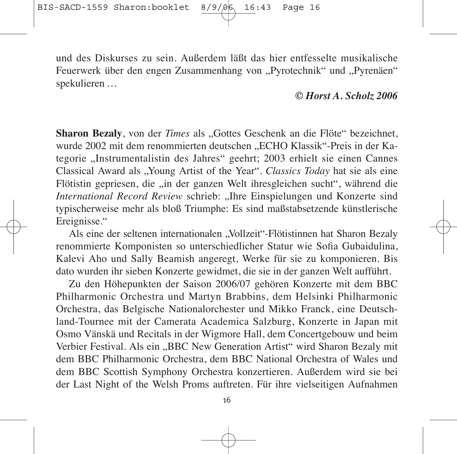und des Diskurses zu sein. Außerdem läßt das hier entfesselte musikalische Feuerwerk über den engen Zusammenhang von "Pyrotechnik" und "Pyrenäen" spekulieren …

#### *© Horst A. Scholz 2006*

**Sharon Bezaly**, von der *Times* als "Gottes Geschenk an die Flöte" bezeichnet, wurde 2002 mit dem renommierten deutschen "ECHO Klassik"-Preis in der Kategorie "Instrumentalistin des Jahres" geehrt; 2003 erhielt sie einen Cannes Clas sical Award als "Young Artist of the Year". *Classics Today* hat sie als eine Flötistin gepriesen, die "in der ganzen Welt ihresgleichen sucht", während die *International Record Review* schrieb: "Ihre Einspielungen und Konzerte sind typi scherweise mehr als bloß Triumphe: Es sind maßstabsetzende künstlerische Ereignisse."

Als eine der seltenen internationalen "Vollzeit"-Flötistinnen hat Sharon Bezaly renommierte Komponisten so unterschiedlicher Statur wie Sofia Gubaidulina, Kalevi Aho und Sally Beamish angeregt, Werke für sie zu komponieren. Bis dato wurden ihr sieben Konzerte gewidmet, die sie in der ganzen Welt aufführt.

Zu den Höhepunkten der Saison 2006/07 gehören Konzerte mit dem BBC Philharmonic Orchestra und Martyn Brabbins, dem Helsinki Philharmonic Orchestra, das Belgische Nationalorchester und Mikko Franck, eine Deutschland-Tournee mit der Camerata Academica Salzburg, Konzerte in Japan mit Osmo Vänskä und Recitals in der Wigmore Hall, dem Concertgebouw und beim Verbier Festival. Als ein "BBC New Generation Artist" wird Sharon Bezaly mit dem BBC Philharmonic Orchestra, dem BBC National Orchestra of Wales und dem BBC Scottish Symphony Orchestra konzertieren. Außerdem wird sie bei der Last Night of the Welsh Proms auftreten. Für ihre vielseitigen Aufnahmen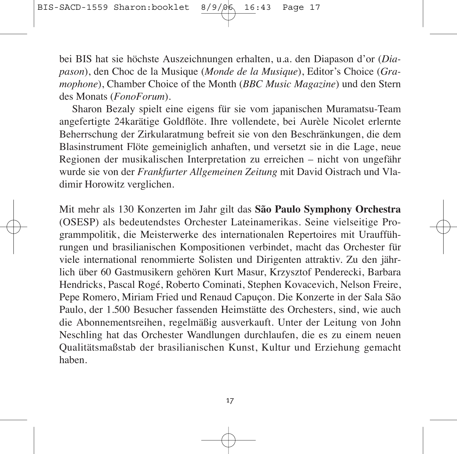bei BIS hat sie höchste Auszeichnungen erhalten, u.a. den Diapason d'or (*Dia pa son*), den Choc de la Musique (*Monde de la Musique*), Editor's Choice (*Gra mophone*), Chamber Choice of the Month (*BBC Music Magazine*) und den Stern des Monats (*FonoForum*).

Sharon Bezaly spielt eine eigens für sie vom japanischen Muramatsu-Team angefertigte 24karätige Goldflöte. Ihre vollendete, bei Aurèle Nicolet erlernte Beherrschung der Zirkularatmung befreit sie von den Beschränkungen, die dem Blasinstrument Flöte gemeiniglich anhaften, und versetzt sie in die Lage, neue Regionen der musikalischen Interpretation zu erreichen – nicht von ungefähr wurde sie von der *Frankfurter Allgemeinen Zeitung* mit David Oistrach und Vla dimir Horowitz verglichen.

Mit mehr als 130 Konzerten im Jahr gilt das **São Paulo Symphony Orchestra** (OSESP) als bedeutendstes Orchester Lateinamerikas. Seine vielseitige Pro grammpolitik, die Meisterwerke des internationalen Repertoires mit Uraufführungen und brasilianischen Kompositionen verbindet, macht das Orchester für viele international renommierte Solisten und Dirigenten attraktiv. Zu den jährlich über 60 Gastmusikern gehören Kurt Masur, Krzysztof Penderecki, Barbara Hendricks, Pascal Rogé, Roberto Cominati, Stephen Kovacevich, Nelson Freire, Pepe Romero, Miriam Fried und Renaud Capuçon. Die Konzerte in der Sala São Paulo, der 1.500 Besucher fassenden Heimstätte des Orchesters, sind, wie auch die Abonnementsreihen, regelmäßig ausverkauft. Unter der Leitung von John Neschling hat das Orchester Wandlungen durchlaufen, die es zu einem neuen Qualitätsmaßstab der brasilianischen Kunst, Kultur und Erziehung gemacht haben.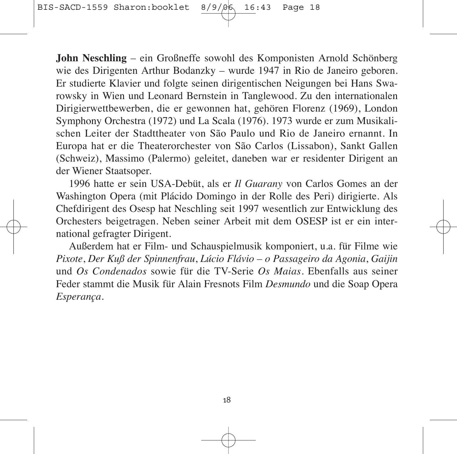**John Neschling** – ein Großneffe sowohl des Komponisten Arnold Schönberg wie des Dirigenten Arthur Bodanzky – wurde 1947 in Rio de Janeiro geboren. Er studierte Klavier und folgte seinen dirigentischen Neigungen bei Hans Swa rowsky in Wien und Leonard Bernstein in Tanglewood. Zu den internationalen Dirigierwettbewerben, die er gewonnen hat, gehören Florenz (1969), London Symphony Orchestra (1972) und La Scala (1976). 1973 wurde er zum Musikalischen Leiter der Stadttheater von São Paulo und Rio de Janeiro ernannt. In Europa hat er die Theaterorchester von São Carlos (Lissabon), Sankt Gallen (Schweiz), Massimo (Palermo) geleitet, daneben war er residenter Dirigent an der Wiener Staatsoper.

1996 hatte er sein USA-Debüt, als er *Il Guarany* von Carlos Gomes an der Washington Opera (mit Plácido Domingo in der Rolle des Peri) dirigierte. Als Chefdirigent des Osesp hat Neschling seit 1997 wesentlich zur Entwicklung des Orchesters beigetragen. Neben seiner Arbeit mit dem OSESP ist er ein inter national gefragter Dirigent.

Außerdem hat er Film- und Schauspielmusik komponiert, u.a. für Filme wie *Pixote*, *Der Kuß der Spinnenfrau*, *Lúcio Flávio – o Passageiro da Agonia*, *Gaijin* und *Os Condenados* sowie für die TV-Serie *Os Maias*. Ebenfalls aus seiner Feder stammt die Musik für Alain Fresnots Film *Desmundo* und die Soap Opera *Esperança*.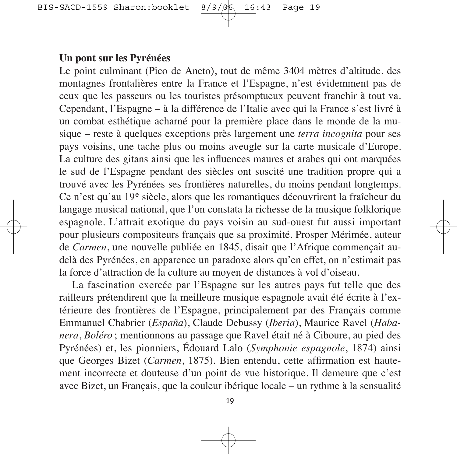### **Un pont sur les Pyrénées**

Le point culminant (Pico de Aneto), tout de même 3404 mètres d'altitude, des montagnes frontalières entre la France et l'Espagne, n'est évidemment pas de ceux que les passeurs ou les touristes présomptueux peuvent franchir à tout va. Cependant, l'Espagne – à la différence de l'Italie avec qui la France s'est livré à un combat esthétique acharné pour la première place dans le monde de la mu sique – reste à quelques exceptions près largement une *terra incognita* pour ses pays voisins, une tache plus ou moins aveugle sur la carte musicale d'Europe. La culture des gitans ainsi que les influences maures et arabes qui ont marquées le sud de l'Espagne pendant des siècles ont suscité une tradition propre qui a trouvé avec les Pyrénées ses frontières naturelles, du moins pendant longtemps. Ce n'est qu'au 19<sup>e</sup> siècle, alors que les romantiques découvrirent la fraîcheur du langage musical national, que l'on constata la richesse de la musique folklorique espagnole. L'attrait exotique du pays voisin au sud-ouest fut aussi important pour plusieurs compositeurs français que sa proximité. Prosper Mérimée, auteur de *Carmen*, une nouvelle publiée en 1845, disait que l'Afrique commençait audelà des Pyrénées, en apparence un paradoxe alors qu'en effet, on n'estimait pas la force d'attraction de la culture au moyen de distances à vol d'oiseau.

La fascination exercée par l'Espagne sur les autres pays fut telle que des railleurs prétendirent que la meilleure musique espagnole avait été écrite à l'extérieure des frontières de l'Espagne, principalement par des Français comme Em manuel Chabrier (*España*), Claude Debussy (*Iberia*), Maurice Ravel (*Haba nera*, *Boléro* ; mentionnons au passage que Ravel était né à Ciboure, au pied des Pyrénées) et, les pionniers, Édouard Lalo (*Symphonie espagnole*, 1874) ainsi que Georges Bizet (*Carmen*, 1875). Bien entendu, cette affirmation est hautement incorrecte et douteuse d'un point de vue historique. Il demeure que c'est avec Bizet, un Français, que la couleur ibérique locale – un rythme à la sensualité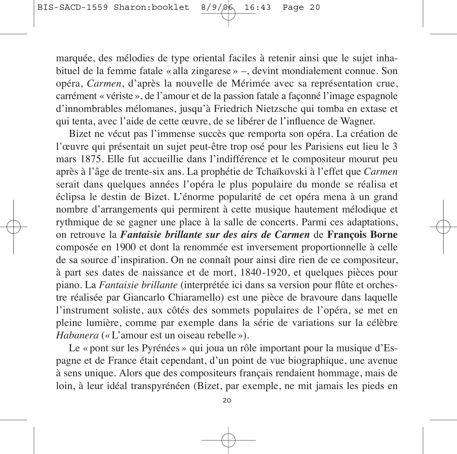marquée, des mélodies de type oriental faciles à retenir ainsi que le sujet inha bituel de la femme fatale « alla zingarese » –, devint mondialement connue. Son opéra, *Carmen*, d'après la nouvelle de Mérimée avec sa représentation crue, carré ment « vériste », de l'amour et de la passion fatale a façonné l'image espagnole d'innombrables mélomanes, jusqu'à Friedrich Nietzsche qui tomba en extase et qui tenta, avec l'aide de cette œuvre, de se libérer de l'influence de Wagner.

Bizet ne vécut pas l'immense succès que remporta son opéra. La création de l'œuvre qui présentait un sujet peut-être trop osé pour les Parisiens eut lieu le 3 mars 1875. Elle fut accueillie dans l'indifférence et le compositeur mourut peu après à l'âge de trente-six ans. La prophétie de Tchaïkovski à l'effet que *Carmen* serait dans quelques années l'opéra le plus populaire du monde se réalisa et éclipsa le destin de Bizet. L'énorme popularité de cet opéra mena à un grand nombre d'arrangements qui permirent à cette musique hautement mélodique et rythmique de se gagner une place à la salle de concerts. Parmi ces adaptations, on retrouve la *Fantaisie brillante sur des airs de Carmen* de **François Borne** composée en 1900 et dont la renommée est inversement proportionnelle à celle de sa source d'inspiration. On ne connaît pour ainsi dire rien de ce compositeur, à part ses dates de naissance et de mort, 1840-1920, et quelques pièces pour piano. La *Fantaisie brillante* (interprétée ici dans sa version pour flûte et orches tre réalisée par Giancarlo Chiaramello) est une pièce de bravoure dans laquelle l'instrument soliste, aux côtés des sommets populaires de l'opéra, se met en pleine lumière, comme par exemple dans la série de variations sur la célèbre *Habanera* (« L'amour est un oiseau rebelle »).

Le « pont sur les Pyrénées » qui joua un rôle important pour la musique d'Espagne et de France était cependant, d'un point de vue biographique, une avenue à sens unique. Alors que des compositeurs français rendaient hommage, mais de loin, à leur idéal transpyrénéen (Bizet, par exemple, ne mit jamais les pieds en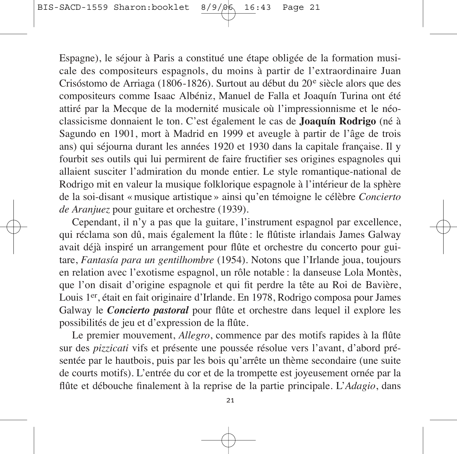Espagne), le séjour à Paris a constitué une étape obligée de la formation musi cale des compositeurs espagnols, du moins à partir de l'extraordinaire Juan Crisóstomo de Arriaga (1806-1826). Surtout au début du 20<sup>e</sup> siècle alors que des compositeurs comme Isaac Albéniz, Manuel de Falla et Joaquín Turina ont été attiré par la Mecque de la modernité musicale où l'impressionnisme et le néoclassicisme donnaient le ton. C'est également le cas de **Joaquín Rodrigo** (né à Sagundo en 1901, mort à Madrid en 1999 et aveugle à partir de l'âge de trois ans) qui séjourna durant les années 1920 et 1930 dans la capitale française. Il y fourbit ses outils qui lui permirent de faire fructifier ses origines espagnoles qui allaient susciter l'admiration du monde entier. Le style romantique-national de Rodrigo mit en valeur la musique folklorique espagnole à l'intérieur de la sphère de la soi-disant « musique artistique » ainsi qu'en témoigne le célèbre *Concierto de Aranjuez* pour guitare et orchestre (1939).

Cependant, il n'y a pas que la guitare, l'instrument espagnol par excellence, qui réclama son dû, mais également la flûte : le flûtiste irlandais James Galway avait déjà inspiré un arrangement pour flûte et orchestre du concerto pour gui tare, *Fantasía para un gentilhombre* (1954). Notons que l'Irlande joua, toujours en relation avec l'exotisme espagnol, un rôle notable : la danseuse Lola Montès, que l'on disait d'origine espagnole et qui fit perdre la tête au Roi de Bavière, Louis 1er, était en fait originaire d'Irlande. En 1978, Rodrigo composa pour James Galway le *Concierto pastoral* pour flûte et orchestre dans lequel il explore les possi bilités de jeu et d'expression de la flûte.

Le premier mouvement, *Allegro*, commence par des motifs rapides à la flûte sur des *pizzicati* vifs et présente une poussée résolue vers l'avant, d'abord pré sentée par le hautbois, puis par les bois qu'arrête un thème secondaire (une suite de courts motifs). L'entrée du cor et de la trompette est joyeusement ornée par la flûte et débouche finalement à la reprise de la partie principale. L'*Adagio*, dans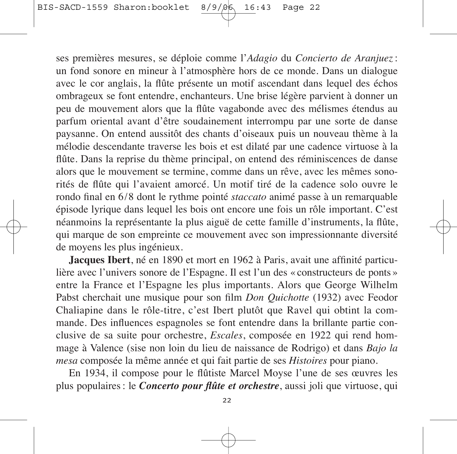ses premières mesures, se déploie comme l'*Adagio* du *Concierto de Aranjuez*: un fond sonore en mineur à l'atmosphère hors de ce monde. Dans un dialogue avec le cor anglais, la flûte présente un motif ascendant dans lequel des échos om brageux se font entendre, enchanteurs. Une brise légère parvient à donner un peu de mouvement alors que la flûte vagabonde avec des mélismes étendus au parfum oriental avant d'être soudainement interrompu par une sorte de danse pay sanne. On entend aussitôt des chants d'oiseaux puis un nouveau thème à la mélodie descendante traverse les bois et est dilaté par une cadence virtuose à la flûte. Dans la reprise du thème principal, on entend des réminiscences de danse alors que le mouvement se termine, comme dans un rêve, avec les mêmes sono rités de flûte qui l'avaient amorcé. Un motif tiré de la cadence solo ouvre le rondo final en 6/8 dont le rythme pointé *staccato* animé passe à un remarquable épisode lyrique dans lequel les bois ont encore une fois un rôle important. C'est néanmoins la représentante la plus aiguë de cette famille d'instruments, la flûte, qui marque de son empreinte ce mouvement avec son impressionnante diversité de moyens les plus ingénieux.

**Jacques Ibert**, né en 1890 et mort en 1962 à Paris, avait une affinité particulière avec l'univers sonore de l'Espagne. Il est l'un des « constructeurs de ponts » entre la France et l'Espagne les plus importants. Alors que George Wilhelm Pabst cherchait une musique pour son film *Don Quichotte* (1932) avec Feodor Chaliapine dans le rôle-titre, c'est Ibert plutôt que Ravel qui obtint la commande. Des influences espagnoles se font entendre dans la brillante partie conclusive de sa suite pour orchestre, *Escales*, composée en 1922 qui rend hommage à Valence (sise non loin du lieu de naissance de Rodrigo) et dans *Bajo la mesa* composée la même année et qui fait partie de ses *Histoires* pour piano.

En 1934, il compose pour le flûtiste Marcel Moyse l'une de ses œuvres les plus populaires : le *Concerto pour flûte et orchestre*, aussi joli que virtuose, qui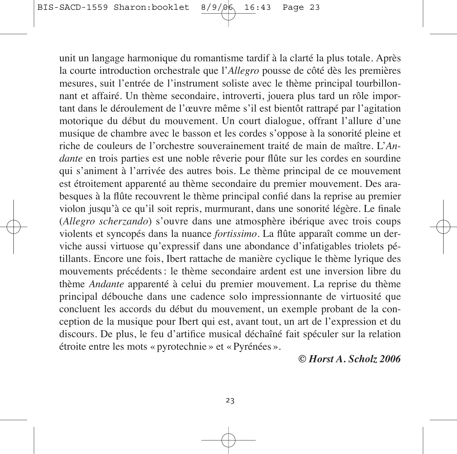unit un langage harmonique du romantisme tardif à la clarté la plus totale. Après la courte introduction orchestrale que l'*Allegro* pousse de côté dès les premières mesures, suit l'entrée de l'instrument soliste avec le thème principal tourbillonnant et affairé. Un thème secondaire, introverti, jouera plus tard un rôle important dans le déroulement de l'œuvre même s'il est bientôt rattrapé par l'agitation motorique du début du mouvement. Un court dialogue, offrant l'allure d'une musique de chambre avec le basson et les cordes s'oppose à la sonorité pleine et riche de couleurs de l'orchestre souverainement traité de main de maître. L'*An dante* en trois parties est une noble rêverie pour flûte sur les cordes en sourdine qui s'animent à l'arrivée des autres bois. Le thème principal de ce mouvement est étroitement apparenté au thème secondaire du premier mouvement. Des ara besques à la flûte recouvrent le thème principal confié dans la reprise au premier violon jusqu'à ce qu'il soit repris, murmurant, dans une sonorité légère. Le finale (*Allegro scherzando*) s'ouvre dans une atmosphère ibérique avec trois coups violents et syncopés dans la nuance *fortissimo*. La flûte apparaît comme un der viche aussi virtuose qu'expressif dans une abondance d'infatigables triolets pé tillants. Encore une fois, Ibert rattache de manière cyclique le thème lyrique des mouvements précédents : le thème secondaire ardent est une inversion libre du thème *Andante* apparenté à celui du premier mouvement. La reprise du thème prin cipal débouche dans une cadence solo impressionnante de virtuosité que concluent les accords du début du mouvement, un exemple probant de la conception de la musique pour Ibert qui est, avant tout, un art de l'expression et du discours. De plus, le feu d'artifice musical déchaîné fait spéculer sur la relation étroite entre les mots « pyrotechnie » et « Pyrénées ».

*© Horst A. Scholz 2006*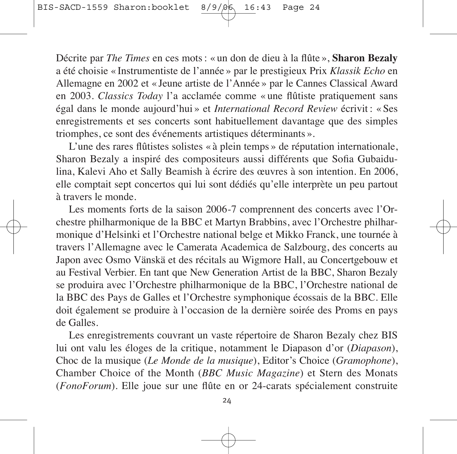Décrite par *The Times* en ces mots : « un don de dieu à la flûte », **Sharon Bezaly** a été choisie « Instrumentiste de l'année » par le prestigieux Prix *Klassik Echo* en Allemagne en 2002 et « Jeune artiste de l'Année » par le Cannes Classical Award en 2003. *Classics Today* l'a acclamée comme « une flûtiste pratiquement sans égal dans le monde aujourd'hui » et *International Record Review* écrivit : « Ses enregistrements et ses concerts sont habituellement davantage que des simples triomphes, ce sont des événements artistiques déterminants ».

L'une des rares flûtistes solistes « à plein temps » de réputation internationale, Sharon Bezaly a inspiré des compositeurs aussi différents que Sofia Gubaidu lina, Kalevi Aho et Sally Beamish à écrire des œuvres à son intention. En 2006, elle comptait sept concertos qui lui sont dédiés qu'elle interprète un peu partout à travers le monde.

Les moments forts de la saison 2006-7 comprennent des concerts avec l'Orchestre philharmonique de la BBC et Martyn Brabbins, avec l'Orchestre philharmonique d'Helsinki et l'Orchestre national belge et Mikko Franck, une tournée à travers l'Allemagne avec le Camerata Academica de Salzbourg, des concerts au Japon avec Osmo Vänskä et des récitals au Wigmore Hall, au Concertgebouw et au Festival Verbier. En tant que New Generation Artist de la BBC, Sharon Bezaly se produira avec l'Orchestre philharmonique de la BBC, l'Orchestre national de la BBC des Pays de Galles et l'Orchestre symphonique écossais de la BBC. Elle doit également se produire à l'occasion de la dernière soirée des Proms en pays de Galles.

Les enregistrements couvrant un vaste répertoire de Sharon Bezaly chez BIS lui ont valu les éloges de la critique, notamment le Diapason d'or (*Diapason*), Choc de la musique (*Le Monde de la musique*), Editor's Choice (*Gramophone*), Chamber Choice of the Month (*BBC Music Magazine*) et Stern des Monats (*FonoForum*). Elle joue sur une flûte en or 24-carats spécialement construite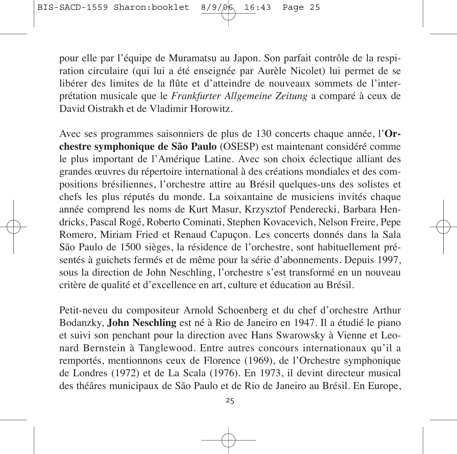pour elle par l'équipe de Muramatsu au Japon. Son parfait contrôle de la respiration circulaire (qui lui a été enseignée par Aurèle Nicolet) lui permet de se libérer des limites de la flûte et d'atteindre de nouveaux sommets de l'inter prétation musicale que le *Frankfurter Allgemeine Zeitung* a comparé à ceux de David Oistrakh et de Vladimir Horowitz.

Avec ses programmes saisonniers de plus de 130 concerts chaque année, l'**Or chestre symphonique de São Paulo** (OSESP) est maintenant considéré comme le plus important de l'Amérique Latine. Avec son choix éclectique alliant des grandes œuvres du répertoire international à des créations mondiales et des compositions brésiliennes, l'orchestre attire au Brésil quelques-uns des solistes et chefs les plus réputés du monde. La soixantaine de musiciens invités chaque année comprend les noms de Kurt Masur, Krzysztof Penderecki, Barbara Hendricks, Pascal Rogé, Roberto Cominati, Stephen Kovacevich, Nelson Freire, Pepe Romero, Miriam Fried et Renaud Capuçon. Les concerts donnés dans la Sala São Paulo de 1500 sièges, la résidence de l'orchestre, sont habituellement pré sentés à guichets fermés et de même pour la série d'abonnements. Depuis 1997, sous la direction de John Neschling, l'orchestre s'est transformé en un nouveau critère de qualité et d'excellence en art, culture et éducation au Brésil.

Petit-neveu du compositeur Arnold Schoenberg et du chef d'orchestre Arthur Bo danzky, **John Neschling** est né à Rio de Janeiro en 1947. Il a étudié le piano et suivi son penchant pour la direction avec Hans Swarowsky à Vienne et Leo nard Bernstein à Tanglewood. Entre autres concours internationaux qu'il a remportés, mentionnons ceux de Florence (1969), de l'Orchestre symphonique de Londres (1972) et de La Scala (1976). En 1973, il devint directeur musical des théâres municipaux de São Paulo et de Rio de Janeiro au Brésil. En Europe,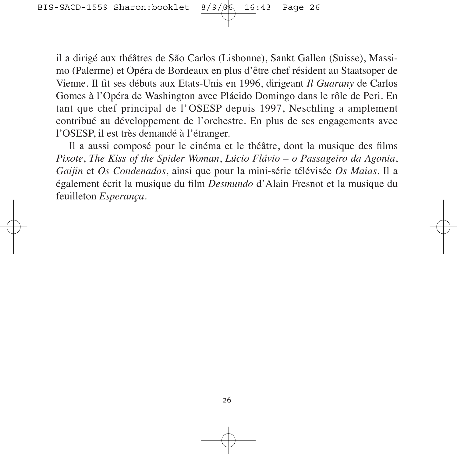il a dirigé aux théâtres de São Carlos (Lisbonne), Sankt Gallen (Suisse), Massimo (Palerme) et Opéra de Bordeaux en plus d'être chef résident au Staatsoper de Vienne. Il fit ses débuts aux Etats-Unis en 1996, dirigeant *Il Guarany* de Carlos Gomes à l'Opéra de Washington avec Plácido Domingo dans le rôle de Peri. En tant que chef principal de l'OSESP depuis 1997, Neschling a amplement contribué au développement de l'orchestre. En plus de ses engagements avec l'OSESP, il est très demandé à l'étranger.

Il a aussi composé pour le cinéma et le théâtre, dont la musique des films *Pixote*, *The Kiss of the Spider Woman*, *Lúcio Flávio – o Passageiro da Agonia*, *Gaijin* et *Os Condenados*, ainsi que pour la mini-série télévisée *Os Maias*. Il a également écrit la musique du film *Desmundo* d'Alain Fresnot et la musique du feuilleton *Esperança*.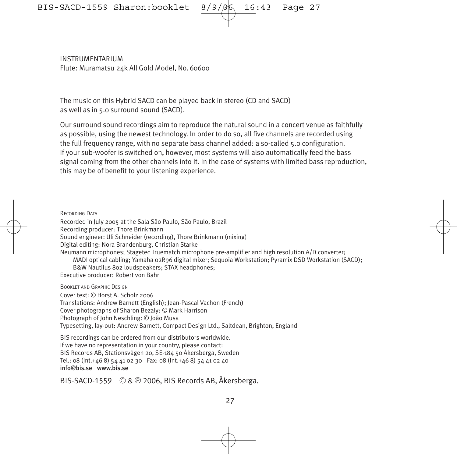**INSTRUMENTARIUM** Flute: Muramatsu 24k All Gold Model, No. 60600

The music on this Hybrid SACD can be played back in stereo (CD and SACD) as well as in 5.0 surround sound (SACD).

Our surround sound recordings aim to reproduce the natural sound in a concert venue as faith fully as possible, using the newest technology. In order to do so, all five channels are recorded using the full frequency range, with no separate bass channel added: a so-called 5.0 configuration. If your sub-woofer is switched on, however, most systems will also automatically feed the bass signal coming from the other channels into it. In the case of systems with limited bass reproduction, this may be of benefit to your listening experience.

RECORDING DATA Recorded in July 2005 at the Sala São Paulo, São Paulo, Brazil Recording producer: Thore Brinkmann Sound engineer: Uli Schneider (recording), Thore Brinkmann (mixing) Digital editing: Nora Brandenburg, Christian Starke Neumann microphones; Stagetec Truematch microphone pre-amplifier and high resolution A/D converter; MADI optical cabling; Yamaha 02R96 digital mixer; Sequoia Workstation; Pyramix DSD Workstation (SACD); B&W Nautilus 802 loudspeakers; STAX headphones; Executive producer: Robert von Bahr

BOOKLET AND GRAPHIC DESIGN

Cover text: © Horst A. Scholz 2006 Translations: Andrew Barnett (English); Jean-Pascal Vachon (French) Cover photographs of Sharon Bezaly: © Mark Harrison Photograph of John Neschling: © João Musa Typesetting, lay-out: Andrew Barnett, Compact Design Ltd., Saltdean, Brighton, England

BIS recordings can be ordered from our distributors worldwide. If we have no representation in your country, please contact: BIS Records AB, Stationsvägen 20, SE-184 50 Åkersberga, Sweden Tel.: 08 (Int.+46 8) 54 41 02 30 Fax: 08 (Int.+46 8) 54 41 02 40  $info@hisce$  www.bis.se

BIS-SACD-1559 © & **9** 2006, BIS Records AB, Åkersberga.